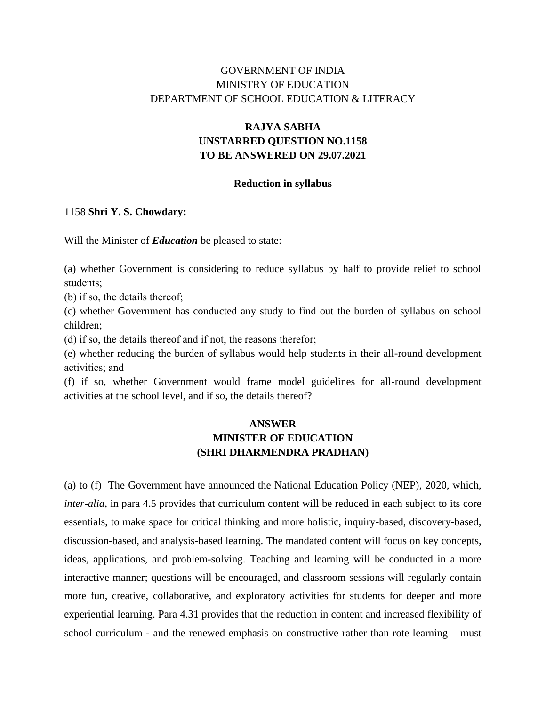## GOVERNMENT OF INDIA MINISTRY OF EDUCATION DEPARTMENT OF SCHOOL EDUCATION & LITERACY

# **RAJYA SABHA UNSTARRED QUESTION NO.1158 TO BE ANSWERED ON 29.07.2021**

#### **Reduction in syllabus**

### 1158 **Shri Y. S. Chowdary:**

Will the Minister of *Education* be pleased to state:

(a) whether Government is considering to reduce syllabus by half to provide relief to school students;

(b) if so, the details thereof;

(c) whether Government has conducted any study to find out the burden of syllabus on school children;

(d) if so, the details thereof and if not, the reasons therefor;

(e) whether reducing the burden of syllabus would help students in their all-round development activities; and

(f) if so, whether Government would frame model guidelines for all-round development activities at the school level, and if so, the details thereof?

## **ANSWER MINISTER OF EDUCATION (SHRI DHARMENDRA PRADHAN)**

(a) to (f) The Government have announced the National Education Policy (NEP), 2020, which, *inter-alia*, in para 4.5 provides that curriculum content will be reduced in each subject to its core essentials, to make space for critical thinking and more holistic, inquiry-based, discovery-based, discussion-based, and analysis-based learning. The mandated content will focus on key concepts, ideas, applications, and problem-solving. Teaching and learning will be conducted in a more interactive manner; questions will be encouraged, and classroom sessions will regularly contain more fun, creative, collaborative, and exploratory activities for students for deeper and more experiential learning. Para 4.31 provides that the reduction in content and increased flexibility of school curriculum - and the renewed emphasis on constructive rather than rote learning – must